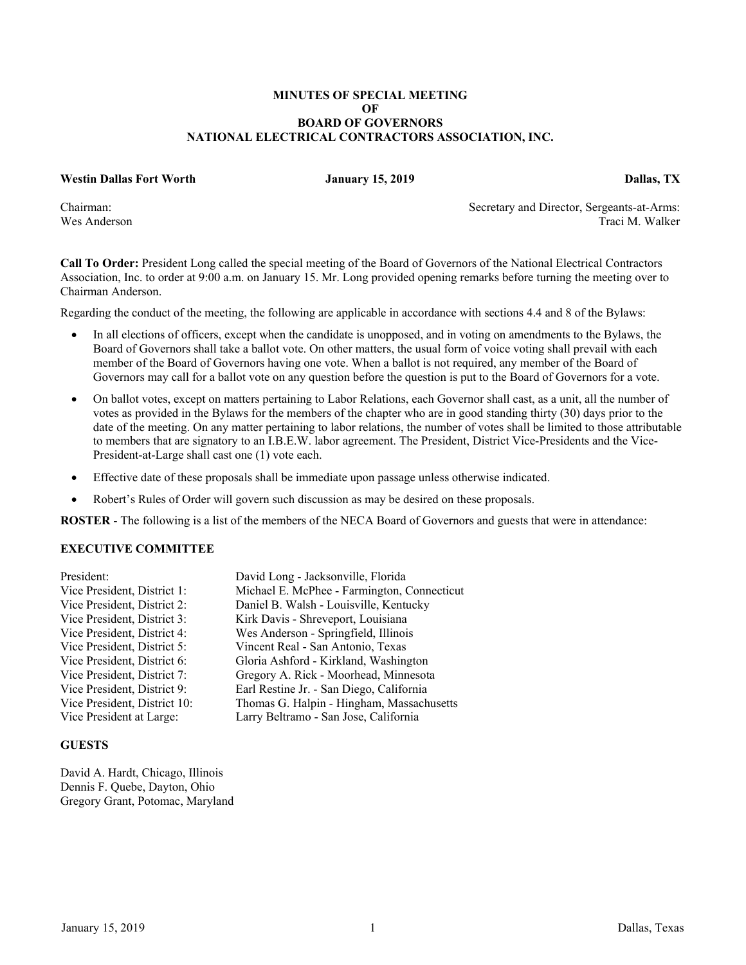## **MINUTES OF SPECIAL MEETING OF BOARD OF GOVERNORS NATIONAL ELECTRICAL CONTRACTORS ASSOCIATION, INC.**

#### **Westin Dallas Fort Worth January 15, 2019 Dallas, TX**

Chairman: Secretary and Director, Sergeants-at-Arms: Wes Anderson Traci M. Walker

**Call To Order:** President Long called the special meeting of the Board of Governors of the National Electrical Contractors Association, Inc. to order at 9:00 a.m. on January 15. Mr. Long provided opening remarks before turning the meeting over to Chairman Anderson.

Regarding the conduct of the meeting, the following are applicable in accordance with sections 4.4 and 8 of the Bylaws:

- In all elections of officers, except when the candidate is unopposed, and in voting on amendments to the Bylaws, the Board of Governors shall take a ballot vote. On other matters, the usual form of voice voting shall prevail with each member of the Board of Governors having one vote. When a ballot is not required, any member of the Board of Governors may call for a ballot vote on any question before the question is put to the Board of Governors for a vote.
- On ballot votes, except on matters pertaining to Labor Relations, each Governor shall cast, as a unit, all the number of votes as provided in the Bylaws for the members of the chapter who are in good standing thirty (30) days prior to the date of the meeting. On any matter pertaining to labor relations, the number of votes shall be limited to those attributable to members that are signatory to an I.B.E.W. labor agreement. The President, District Vice-Presidents and the Vice-President-at-Large shall cast one (1) vote each.
- Effective date of these proposals shall be immediate upon passage unless otherwise indicated.
- Robert's Rules of Order will govern such discussion as may be desired on these proposals.

**ROSTER** - The following is a list of the members of the NECA Board of Governors and guests that were in attendance:

## **EXECUTIVE COMMITTEE**

| President:                   | David Long - Jacksonville, Florida          |
|------------------------------|---------------------------------------------|
| Vice President, District 1:  | Michael E. McPhee - Farmington, Connecticut |
| Vice President, District 2:  | Daniel B. Walsh - Louisville, Kentucky      |
| Vice President, District 3:  | Kirk Davis - Shreveport, Louisiana          |
| Vice President, District 4:  | Wes Anderson - Springfield, Illinois        |
| Vice President, District 5:  | Vincent Real - San Antonio, Texas           |
| Vice President, District 6:  | Gloria Ashford - Kirkland, Washington       |
| Vice President, District 7:  | Gregory A. Rick - Moorhead, Minnesota       |
| Vice President, District 9:  | Earl Restine Jr. - San Diego, California    |
| Vice President, District 10: | Thomas G. Halpin - Hingham, Massachusetts   |
| Vice President at Large:     | Larry Beltramo - San Jose, California       |

#### **GUESTS**

David A. Hardt, Chicago, Illinois Dennis F. Quebe, Dayton, Ohio Gregory Grant, Potomac, Maryland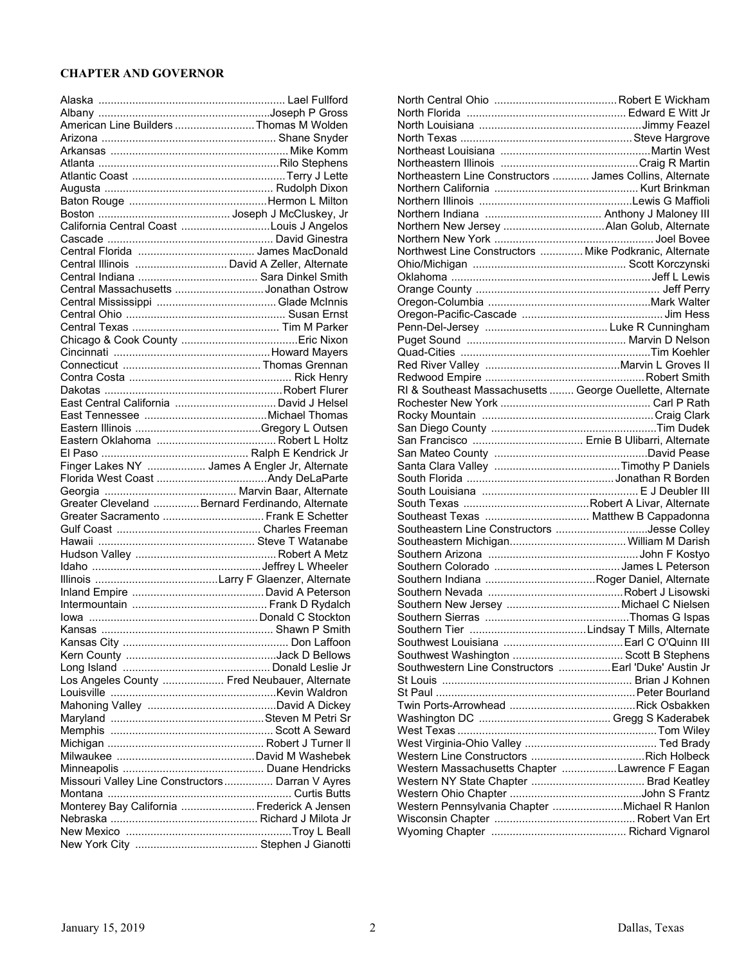# **CHAPTER AND GOVERNOR**

| American Line Builders Thomas M Wolden                                                   |
|------------------------------------------------------------------------------------------|
|                                                                                          |
|                                                                                          |
|                                                                                          |
|                                                                                          |
|                                                                                          |
|                                                                                          |
|                                                                                          |
|                                                                                          |
|                                                                                          |
|                                                                                          |
| Central Illinois  David A Zeller, Alternate                                              |
|                                                                                          |
| Central Massachusetts Jonathan Ostrow                                                    |
|                                                                                          |
|                                                                                          |
|                                                                                          |
|                                                                                          |
|                                                                                          |
|                                                                                          |
|                                                                                          |
|                                                                                          |
| East Central California  David J Helsel                                                  |
|                                                                                          |
|                                                                                          |
|                                                                                          |
|                                                                                          |
| Finger Lakes NY  James A Engler Jr, Alternate                                            |
|                                                                                          |
|                                                                                          |
|                                                                                          |
|                                                                                          |
| Greater Cleveland  Bernard Ferdinando, Alternate<br>Greater Sacramento  Frank E Schetter |
|                                                                                          |
|                                                                                          |
|                                                                                          |
|                                                                                          |
|                                                                                          |
|                                                                                          |
|                                                                                          |
|                                                                                          |
|                                                                                          |
|                                                                                          |
|                                                                                          |
|                                                                                          |
| Los Angeles County  Fred Neubauer, Alternate                                             |
|                                                                                          |
|                                                                                          |
|                                                                                          |
|                                                                                          |
|                                                                                          |
|                                                                                          |
|                                                                                          |
| Missouri Valley Line Constructors  Darran V Ayres                                        |
|                                                                                          |
| Monterey Bay California  Frederick A Jensen                                              |
|                                                                                          |
|                                                                                          |
|                                                                                          |

| Northeastern Line Constructors  James Collins, Alternate  |  |
|-----------------------------------------------------------|--|
|                                                           |  |
|                                                           |  |
|                                                           |  |
|                                                           |  |
|                                                           |  |
| Northwest Line Constructors  Mike Podkranic, Alternate    |  |
|                                                           |  |
|                                                           |  |
|                                                           |  |
|                                                           |  |
|                                                           |  |
|                                                           |  |
|                                                           |  |
|                                                           |  |
|                                                           |  |
|                                                           |  |
|                                                           |  |
| RI & Southeast Massachusetts  George Ouellette, Alternate |  |
|                                                           |  |
|                                                           |  |
|                                                           |  |
|                                                           |  |
|                                                           |  |
|                                                           |  |
|                                                           |  |
|                                                           |  |
|                                                           |  |
| Southeast Texas  Matthew B Cappadonna                     |  |
| Southeastern Line Constructors Jesse Colley               |  |
|                                                           |  |
|                                                           |  |
|                                                           |  |
|                                                           |  |
|                                                           |  |
|                                                           |  |
|                                                           |  |
|                                                           |  |
|                                                           |  |
|                                                           |  |
| Southwestern Line Constructors  Earl 'Duke' Austin Jr     |  |
|                                                           |  |
|                                                           |  |
|                                                           |  |
|                                                           |  |
|                                                           |  |
|                                                           |  |
|                                                           |  |
|                                                           |  |
| Western Massachusetts Chapter Lawrence F Eagan            |  |
|                                                           |  |
|                                                           |  |
| Western Pennsylvania Chapter Michael R Hanlon             |  |
|                                                           |  |
|                                                           |  |